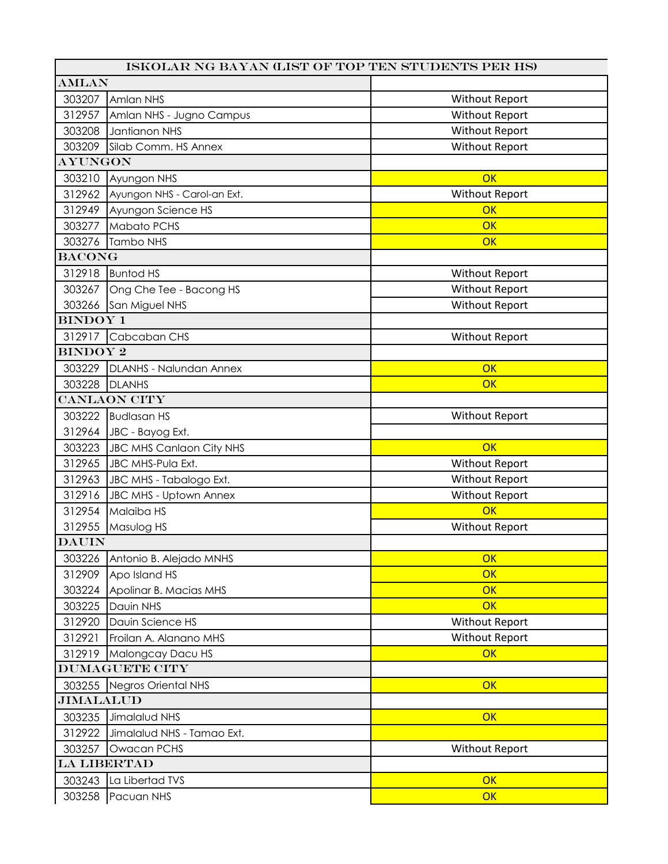| ISKOLAR NG BAYAN (LIST OF TOP TEN STUDENTS PER HS) |                                 |                       |  |  |
|----------------------------------------------------|---------------------------------|-----------------------|--|--|
| <b>AMLAN</b>                                       |                                 |                       |  |  |
| 303207                                             | Amlan NHS                       | <b>Without Report</b> |  |  |
| 312957                                             | Amlan NHS - Jugno Campus        | <b>Without Report</b> |  |  |
| 303208                                             | Jantianon NHS                   | <b>Without Report</b> |  |  |
| 303209                                             | Silab Comm. HS Annex            | <b>Without Report</b> |  |  |
| <b>AYUNGON</b>                                     |                                 |                       |  |  |
| 303210                                             | Ayungon NHS                     | OK                    |  |  |
| 312962                                             | Ayungon NHS - Carol-an Ext.     | <b>Without Report</b> |  |  |
| 312949                                             | Ayungon Science HS              | OK                    |  |  |
| 303277                                             | Mabato PCHS                     | OK                    |  |  |
| 303276                                             | Tambo NHS                       | OK                    |  |  |
| <b>BACONG</b>                                      |                                 |                       |  |  |
| 312918                                             | <b>Buntod HS</b>                | <b>Without Report</b> |  |  |
| 303267                                             | Ong Che Tee - Bacong HS         | <b>Without Report</b> |  |  |
|                                                    | 303266 San Miguel NHS           | <b>Without Report</b> |  |  |
| <b>BINDOY 1</b>                                    |                                 |                       |  |  |
| 312917                                             | Cabcaban CHS                    | <b>Without Report</b> |  |  |
| <b>BINDOY 2</b>                                    |                                 |                       |  |  |
| 303229                                             | DLANHS - Nalundan Annex         | OK                    |  |  |
| 303228                                             | <b>DLANHS</b>                   | OK                    |  |  |
|                                                    | <b>CANLAON CITY</b>             |                       |  |  |
| 303222                                             | <b>Budlasan HS</b>              | <b>Without Report</b> |  |  |
| 312964                                             | JBC - Bayog Ext.                |                       |  |  |
| 303223                                             | <b>JBC MHS Canlaon City NHS</b> | OK                    |  |  |
| 312965                                             | <b>JBC MHS-Pula Ext.</b>        | <b>Without Report</b> |  |  |
| 312963                                             | JBC MHS - Tabalogo Ext.         | <b>Without Report</b> |  |  |
| 312916                                             | JBC MHS - Uptown Annex          | Without Report        |  |  |
| 312954                                             | Malaiba HS                      | OK                    |  |  |
| 312955                                             | Masulog HS                      | <b>Without Report</b> |  |  |
| <b>DAUIN</b>                                       |                                 |                       |  |  |
| 303226                                             | Antonio B. Alejado MNHS         | OK                    |  |  |
| 312909                                             | Apo Island HS                   | OK                    |  |  |
| 303224                                             | Apolinar B. Macias MHS          | OK                    |  |  |
| 303225                                             | Dauin NHS                       | OK                    |  |  |
| 312920                                             | Davin Science HS                | <b>Without Report</b> |  |  |
| 312921                                             | Froilan A. Alanano MHS          | Without Report        |  |  |
| 312919                                             | Malongcay Dacu HS               | OK                    |  |  |
| <b>DUMAGUETE CITY</b>                              |                                 |                       |  |  |
| 303255                                             | Negros Oriental NHS             | OK                    |  |  |
| <b>JIMALALUD</b>                                   |                                 |                       |  |  |
| 303235                                             | Jimalalud NHS                   | OK                    |  |  |
| 312922                                             | Jimalalud NHS - Tamao Ext.      |                       |  |  |
| 303257                                             | Owacan PCHS                     | <b>Without Report</b> |  |  |
| LA LIBERTAD                                        |                                 |                       |  |  |
| 303243                                             | La Libertad TVS                 | OK                    |  |  |
| 303258                                             | Pacuan NHS                      | OK                    |  |  |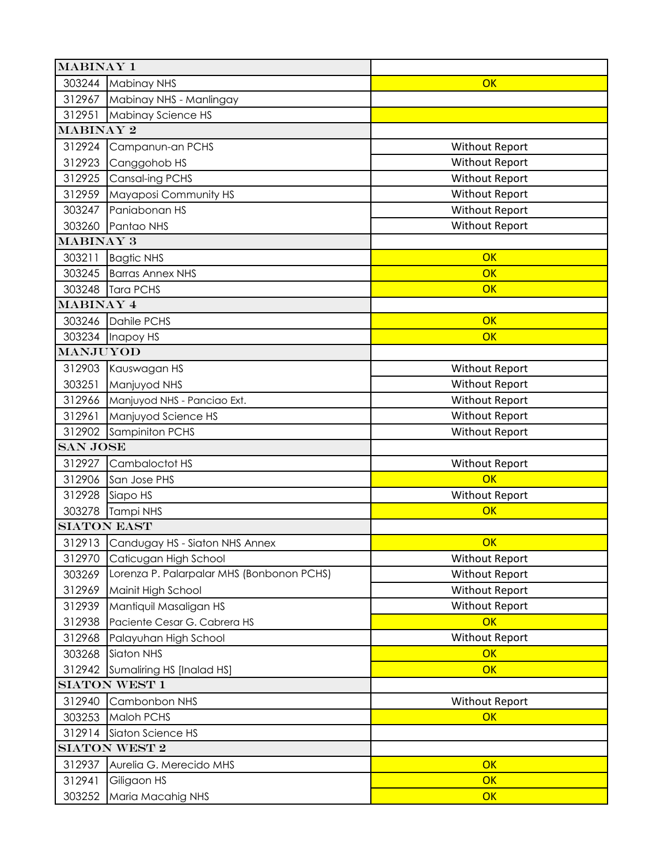| <b>MABINAY 1</b>   |                                           |                       |  |  |
|--------------------|-------------------------------------------|-----------------------|--|--|
| 303244             | Mabinay NHS                               | OK                    |  |  |
| 312967             | Mabinay NHS - Manlingay                   |                       |  |  |
| 312951             | Mabinay Science HS                        |                       |  |  |
| <b>MABINAY 2</b>   |                                           |                       |  |  |
| 312924             | Campanun-an PCHS                          | <b>Without Report</b> |  |  |
| 312923             | Canggohob HS                              | <b>Without Report</b> |  |  |
| 312925             | Cansal-ing PCHS                           | <b>Without Report</b> |  |  |
| 312959             | Mayaposi Community HS                     | Without Report        |  |  |
| 303247             | Paniabonan HS                             | <b>Without Report</b> |  |  |
| 303260             | Pantao NHS                                | <b>Without Report</b> |  |  |
| <b>MABINAY 3</b>   |                                           |                       |  |  |
| 303211             | <b>Bagtic NHS</b>                         | OK                    |  |  |
| 303245             | <b>Barras Annex NHS</b>                   | OK                    |  |  |
| 303248             | <b>Tara PCHS</b>                          | OK                    |  |  |
| <b>MABINAY 4</b>   |                                           |                       |  |  |
| 303246             | Dahile PCHS                               | OK                    |  |  |
| 303234             | Inapoy HS                                 | OK                    |  |  |
| MANJUYOD           |                                           |                       |  |  |
| 312903             | Kauswagan HS                              | <b>Without Report</b> |  |  |
| 303251             | Manjuyod NHS                              | Without Report        |  |  |
| 312966             | Manjuyod NHS - Panciao Ext.               | <b>Without Report</b> |  |  |
| 312961             | Manjuyod Science HS                       | <b>Without Report</b> |  |  |
| 312902             | Sampiniton PCHS                           | <b>Without Report</b> |  |  |
| <b>SAN JOSE</b>    |                                           |                       |  |  |
| 312927             | Cambaloctot HS                            | <b>Without Report</b> |  |  |
| 312906             | San Jose PHS                              | OK                    |  |  |
| 312928             | Siapo HS                                  | <b>Without Report</b> |  |  |
| 303278             | <b>Tampi NHS</b>                          | OK                    |  |  |
| <b>SIATON EAST</b> |                                           |                       |  |  |
| 312913             | Candugay HS - Siaton NHS Annex            | OK                    |  |  |
| 312970             | Caticugan High School                     | <b>Without Report</b> |  |  |
| 303269             | Lorenza P. Palarpalar MHS (Bonbonon PCHS) | <b>Without Report</b> |  |  |
| 312969             | Mainit High School                        | <b>Without Report</b> |  |  |
| 312939             | Mantiquil Masaligan HS                    | Without Report        |  |  |
| 312938             | Paciente Cesar G. Cabrera HS              | OK                    |  |  |
| 312968             | Palayuhan High School                     | <b>Without Report</b> |  |  |
| 303268             | Siaton NHS                                | OK                    |  |  |
| 312942             | Sumaliring HS [Inalad HS]                 | OK                    |  |  |
|                    | <b>SIATON WEST 1</b>                      |                       |  |  |
| 312940             | Cambonbon NHS                             | <b>Without Report</b> |  |  |
| 303253             | Maloh PCHS                                | OK                    |  |  |
| 312914             | Siaton Science HS                         |                       |  |  |
| SIATON WEST 2      |                                           |                       |  |  |
| 312937             | Aurelia G. Merecido MHS                   | OK                    |  |  |
| 312941             | Giligaon HS                               | OK                    |  |  |
| 303252             | Maria Macahig NHS                         | OK                    |  |  |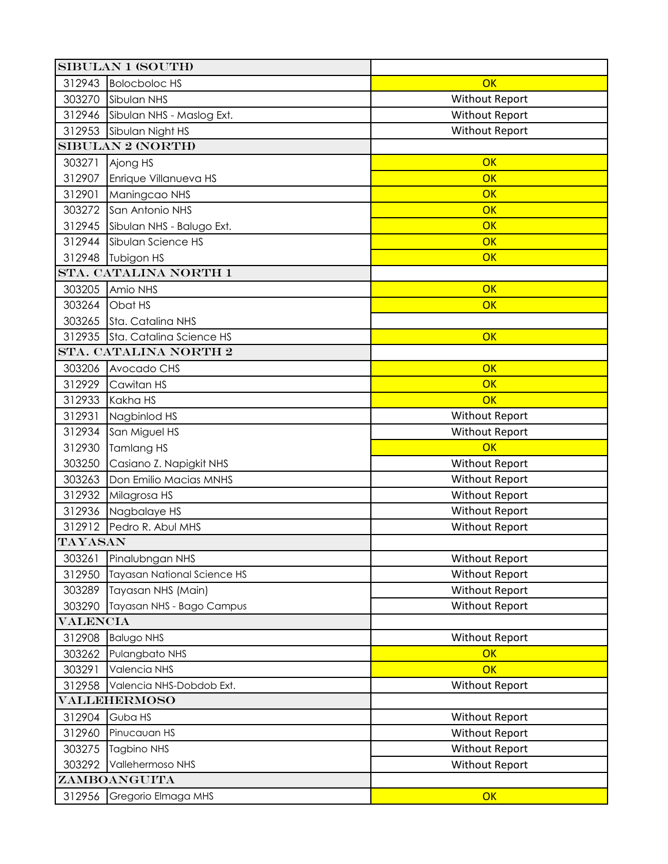| <b>SIBULAN 1 (SOUTH)</b> |                                    |                       |  |  |
|--------------------------|------------------------------------|-----------------------|--|--|
| 312943                   | <b>Bolocboloc HS</b>               | OK                    |  |  |
| 303270                   | Sibulan NHS                        | <b>Without Report</b> |  |  |
| 312946                   | Sibulan NHS - Maslog Ext.          | <b>Without Report</b> |  |  |
| 312953                   | Sibulan Night HS                   | <b>Without Report</b> |  |  |
|                          | <b>SIBULAN 2 (NORTH)</b>           |                       |  |  |
| 303271                   | Ajong HS                           | OK                    |  |  |
| 312907                   | Enrique Villanueva HS              | OK                    |  |  |
| 312901                   | Maningcao NHS                      | OK                    |  |  |
| 303272                   | San Antonio NHS                    | OK                    |  |  |
| 312945                   | Sibulan NHS - Balugo Ext.          | OK                    |  |  |
| 312944                   | Sibulan Science HS                 | $\overline{OK}$       |  |  |
|                          | 312948   Tubigon HS                | OK                    |  |  |
|                          | STA. CATALINA NORTH 1              |                       |  |  |
| 303205                   | Amio NHS                           | OK                    |  |  |
| 303264                   | Obat HS                            | OK                    |  |  |
| 303265                   | Sta. Catalina NHS                  |                       |  |  |
|                          | 312935 Sta. Catalina Science HS    | OK                    |  |  |
|                          | STA. CATALINA NORTH 2              |                       |  |  |
| 303206                   | Avocado CHS                        | OK                    |  |  |
| 312929                   | Cawitan HS                         | OK                    |  |  |
| 312933                   | Kakha HS                           | OK                    |  |  |
| 312931                   | Nagbinlod HS                       | <b>Without Report</b> |  |  |
| 312934                   | San Miguel HS                      | <b>Without Report</b> |  |  |
| 312930                   | Tamlang HS                         | OK                    |  |  |
| 303250                   | Casiano Z. Napigkit NHS            | <b>Without Report</b> |  |  |
| 303263                   | Don Emilio Macias MNHS             | <b>Without Report</b> |  |  |
| 312932                   | Milagrosa HS                       | <b>Without Report</b> |  |  |
|                          | 312936 Nagbalaye HS                | <b>Without Report</b> |  |  |
| 312912                   | Pedro R. Abul MHS                  | <b>Without Report</b> |  |  |
| TAYASAN                  |                                    |                       |  |  |
| 303261                   | Pinalubngan NHS                    | <b>Without Report</b> |  |  |
| 312950                   | <b>Tayasan National Science HS</b> | <b>Without Report</b> |  |  |
| 303289                   | Tayasan NHS (Main)                 | <b>Without Report</b> |  |  |
| 303290                   | Tayasan NHS - Bago Campus          | <b>Without Report</b> |  |  |
| <b>VALENCIA</b>          |                                    |                       |  |  |
| 312908                   | <b>Balugo NHS</b>                  | <b>Without Report</b> |  |  |
| 303262                   | Pulangbato NHS                     | OK                    |  |  |
| 303291                   | Valencia NHS                       | OK                    |  |  |
| 312958                   | Valencia NHS-Dobdob Ext.           | <b>Without Report</b> |  |  |
| VALLEHERMOSO             |                                    |                       |  |  |
| 312904                   | Guba HS                            | <b>Without Report</b> |  |  |
| 312960                   | Pinucauan HS                       | <b>Without Report</b> |  |  |
| 303275                   | <b>Tagbino NHS</b>                 | <b>Without Report</b> |  |  |
| 303292                   | Vallehermoso NHS                   | <b>Without Report</b> |  |  |
| ZAMBOANGUITA             |                                    |                       |  |  |
| 312956                   | Gregorio Elmaga MHS                | OK                    |  |  |